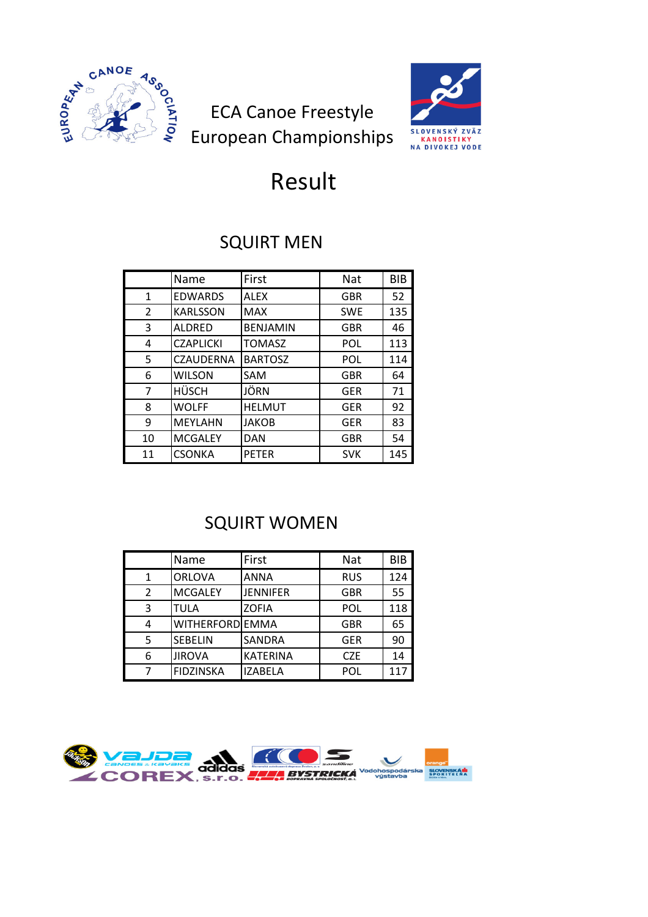

ECA Canoe Freestyle European Championships



# Result

#### SQUIRT MEN

|                | Name             | First           | Nat        | BIB |
|----------------|------------------|-----------------|------------|-----|
| 1              | <b>EDWARDS</b>   | <b>ALEX</b>     | <b>GBR</b> | 52  |
| $\overline{2}$ | <b>KARLSSON</b>  | <b>MAX</b>      | <b>SWE</b> | 135 |
| 3              | <b>ALDRED</b>    | <b>BENJAMIN</b> | <b>GBR</b> | 46  |
| 4              | <b>CZAPLICKI</b> | <b>TOMASZ</b>   | <b>POL</b> | 113 |
| 5              | <b>CZAUDERNA</b> | <b>BARTOSZ</b>  | <b>POL</b> | 114 |
| 6              | <b>WILSON</b>    | SAM             | <b>GBR</b> | 64  |
| 7              | HÜSCH            | JÖRN            | <b>GER</b> | 71  |
| 8              | <b>WOLFF</b>     | <b>HELMUT</b>   | <b>GER</b> | 92  |
| 9              | <b>MEYLAHN</b>   | <b>JAKOB</b>    | <b>GER</b> | 83  |
| 10             | <b>MCGALEY</b>   | <b>DAN</b>      | <b>GBR</b> | 54  |
| 11             | <b>CSONKA</b>    | <b>PETER</b>    | <b>SVK</b> | 145 |

#### SQUIRT WOMEN

|                | Name             | First           | Nat        | <b>BIB</b> |
|----------------|------------------|-----------------|------------|------------|
| $\mathbf{1}$   | <b>ORLOVA</b>    | <b>ANNA</b>     | <b>RUS</b> | 124        |
| $\overline{2}$ | <b>MCGALEY</b>   | <b>JENNIFER</b> | <b>GBR</b> | 55         |
| 3              | TULA             | <b>ZOFIA</b>    | POL        | 118        |
| 4              | WITHERFORD EMMA  |                 | <b>GBR</b> | 65         |
| 5              | <b>SEBELIN</b>   | <b>SANDRA</b>   | <b>GER</b> | 90         |
| 6              | <b>JIROVA</b>    | <b>KATERINA</b> | <b>CZE</b> | 14         |
| 7              | <b>FIDZINSKA</b> | <b>IZABELA</b>  | POL        | 117        |

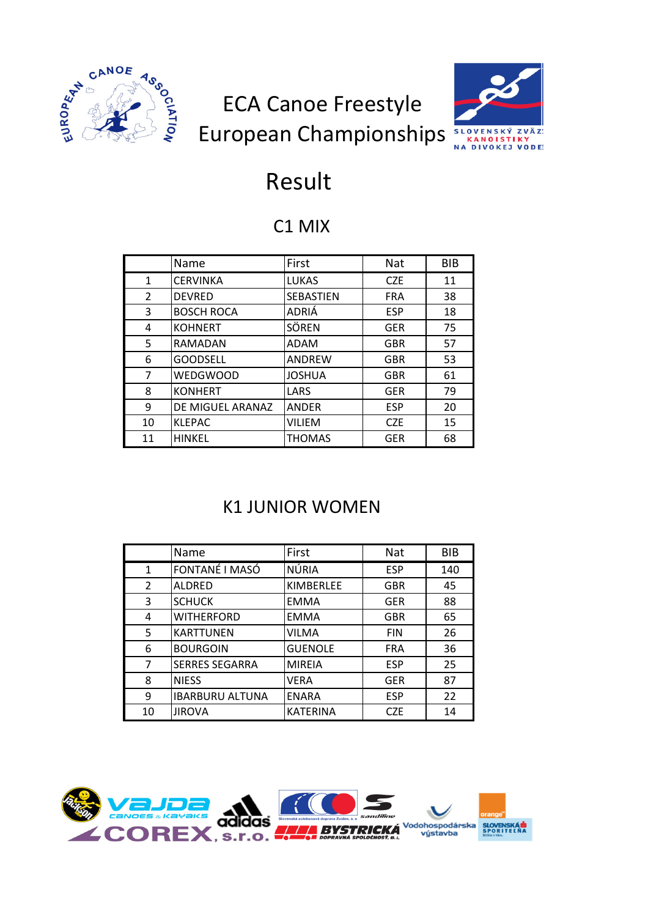





# Result

### C1 MIX

|                | Name              | First         | <b>Nat</b> | BIB |
|----------------|-------------------|---------------|------------|-----|
| 1              | <b>CERVINKA</b>   | <b>LUKAS</b>  | <b>CZE</b> | 11  |
| $\overline{2}$ | <b>DEVRED</b>     | SEBASTIEN     | <b>FRA</b> | 38  |
| 3              | <b>BOSCH ROCA</b> | ADRIÁ         | <b>ESP</b> | 18  |
| 4              | <b>KOHNERT</b>    | SÖREN         | <b>GER</b> | 75  |
| 5              | RAMADAN           | <b>ADAM</b>   | <b>GBR</b> | 57  |
| 6              | <b>GOODSELL</b>   | <b>ANDREW</b> | <b>GBR</b> | 53  |
| 7              | <b>WEDGWOOD</b>   | JOSHUA        | <b>GBR</b> | 61  |
| 8              | <b>KONHERT</b>    | LARS          | <b>GER</b> | 79  |
| 9              | DE MIGUEL ARANAZ  | <b>ANDER</b>  | <b>ESP</b> | 20  |
| 10             | <b>KLEPAC</b>     | <b>VILIEM</b> | <b>CZE</b> | 15  |
| 11             | <b>HINKEL</b>     | <b>THOMAS</b> | <b>GER</b> | 68  |

#### K1 JUNIOR WOMEN

|    | Name                   | First           | Nat        | <b>BIB</b> |
|----|------------------------|-----------------|------------|------------|
| 1  | FONTANÉ I MASÓ         | NÚRIA           | <b>ESP</b> | 140        |
| 2  | <b>ALDRED</b>          | KIMBERLEE       | <b>GBR</b> | 45         |
| 3  | <b>SCHUCK</b>          | <b>EMMA</b>     | <b>GER</b> | 88         |
| 4  | <b>WITHERFORD</b>      | <b>EMMA</b>     | <b>GBR</b> | 65         |
| 5  | <b>KARTTUNEN</b>       | <b>VILMA</b>    | <b>FIN</b> | 26         |
| 6  | <b>BOURGOIN</b>        | <b>GUENOLE</b>  | <b>FRA</b> | 36         |
| 7  | <b>SERRES SEGARRA</b>  | <b>MIREIA</b>   | <b>ESP</b> | 25         |
| 8  | <b>NIESS</b>           | VERA            | <b>GER</b> | 87         |
| 9  | <b>IBARBURU ALTUNA</b> | <b>ENARA</b>    | <b>ESP</b> | 22         |
| 10 | <b>JIROVA</b>          | <b>KATERINA</b> | <b>CZE</b> | 14         |

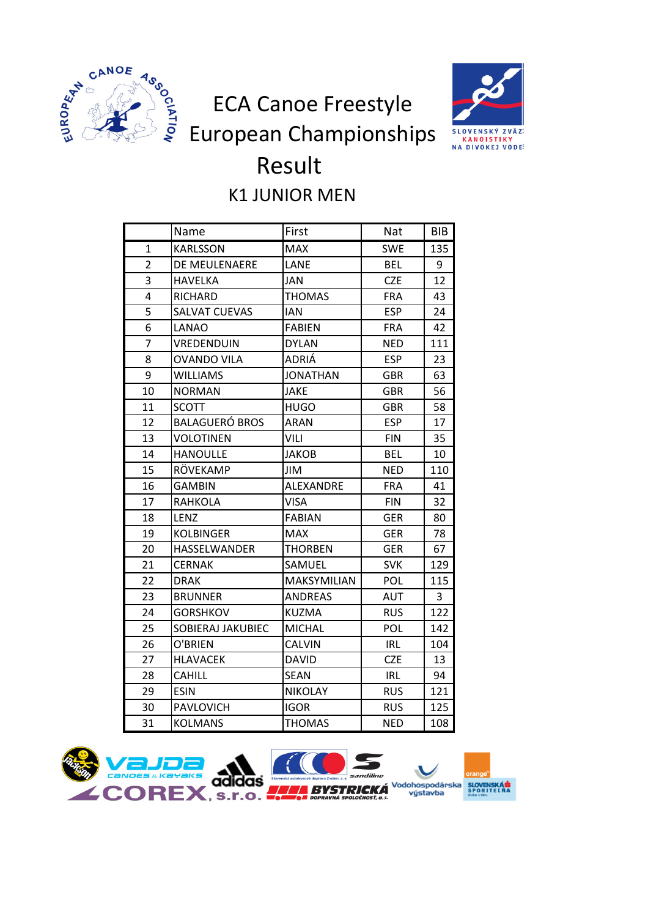





# Result K1 JUNIOR MEN

|                | Name                  | First              | Nat        | BIB |
|----------------|-----------------------|--------------------|------------|-----|
| $\overline{1}$ | <b>KARLSSON</b>       | <b>MAX</b>         | <b>SWE</b> | 135 |
| $\overline{2}$ | DE MEULENAERE         | LANE               | <b>BEL</b> | 9   |
| 3              | <b>HAVELKA</b>        | JAN                | <b>CZE</b> | 12  |
| $\overline{4}$ | <b>RICHARD</b>        | <b>THOMAS</b>      | <b>FRA</b> | 43  |
| 5              | <b>SALVAT CUEVAS</b>  | IAN                | <b>ESP</b> | 24  |
| 6              | <b>LANAO</b>          | <b>FABIEN</b>      | <b>FRA</b> | 42  |
| $\overline{7}$ | VREDENDUIN            | <b>DYLAN</b>       | <b>NED</b> | 111 |
| 8              | <b>OVANDO VILA</b>    | ADRIÁ              | <b>ESP</b> | 23  |
| 9              | <b>WILLIAMS</b>       | <b>JONATHAN</b>    | <b>GBR</b> | 63  |
| 10             | <b>NORMAN</b>         | <b>JAKE</b>        | <b>GBR</b> | 56  |
| 11             | <b>SCOTT</b>          | <b>HUGO</b>        | <b>GBR</b> | 58  |
| 12             | <b>BALAGUERÓ BROS</b> | <b>ARAN</b>        | <b>ESP</b> | 17  |
| 13             | <b>VOLOTINEN</b>      | VILI               | <b>FIN</b> | 35  |
| 14             | <b>HANOULLE</b>       | <b>JAKOB</b>       | <b>BEL</b> | 10  |
| 15             | RÖVEKAMP              | <b>JIM</b>         | <b>NED</b> | 110 |
| 16             | <b>GAMBIN</b>         | <b>ALEXANDRE</b>   | <b>FRA</b> | 41  |
| 17             | <b>RAHKOLA</b>        | <b>VISA</b>        | <b>FIN</b> | 32  |
| 18             | LENZ                  | <b>FABIAN</b>      | <b>GER</b> | 80  |
| 19             | <b>KOLBINGER</b>      | <b>MAX</b>         | <b>GER</b> | 78  |
| 20             | HASSELWANDER          | <b>THORBEN</b>     | GER        | 67  |
| 21             | <b>CERNAK</b>         | SAMUEL             | <b>SVK</b> | 129 |
| 22             | <b>DRAK</b>           | <b>MAKSYMILIAN</b> | POL        | 115 |
| 23             | <b>BRUNNER</b>        | <b>ANDREAS</b>     | AUT        | 3   |
| 24             | <b>GORSHKOV</b>       | <b>KUZMA</b>       | <b>RUS</b> | 122 |
| 25             | SOBIERAJ JAKUBIEC     | <b>MICHAL</b>      | POL        | 142 |
| 26             | O'BRIEN               | <b>CALVIN</b>      | <b>IRL</b> | 104 |
| 27             | <b>HLAVACEK</b>       | <b>DAVID</b>       | <b>CZE</b> | 13  |
| 28             | <b>CAHILL</b>         | <b>SEAN</b>        | <b>IRL</b> | 94  |
| 29             | <b>ESIN</b>           | <b>NIKOLAY</b>     | <b>RUS</b> | 121 |
| 30             | PAVLOVICH             | <b>IGOR</b>        | <b>RUS</b> | 125 |
| 31             | <b>KOLMANS</b>        | <b>THOMAS</b>      | <b>NED</b> | 108 |

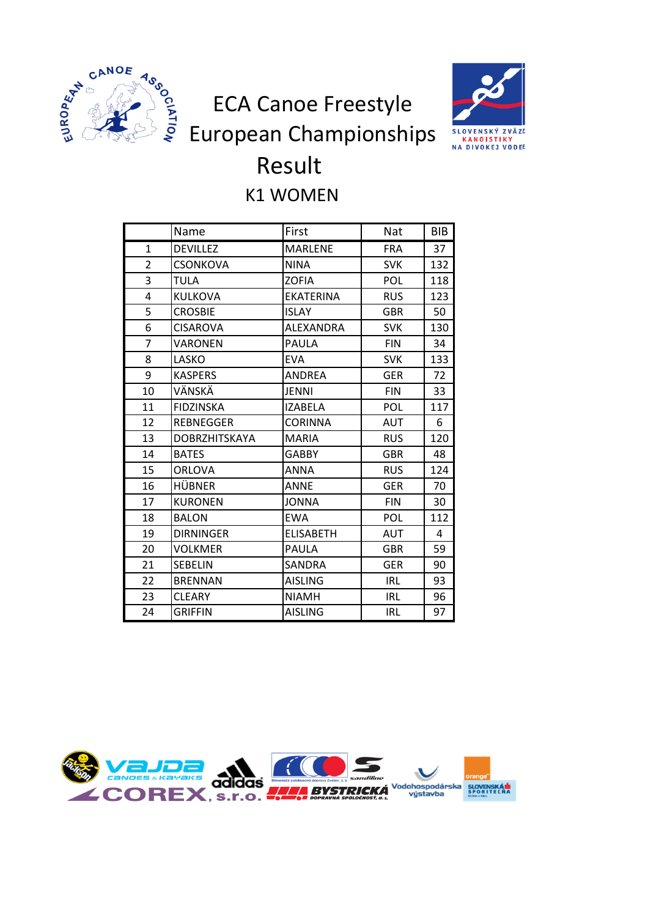

ECA Canoe Freestyle <sup>4s<sub>o</sub><br>
ECA Canoe Freestyle<br>
European Championships</sup>



### K1 WOMEN Result

|                | Name                 | First            | Nat        | BIB |
|----------------|----------------------|------------------|------------|-----|
| $\mathbf{1}$   | <b>DEVILLEZ</b>      | <b>MARLENE</b>   | <b>FRA</b> | 37  |
| 2              | <b>CSONKOVA</b>      | <b>NINA</b>      | <b>SVK</b> | 132 |
| 3              | TULA                 | <b>ZOFIA</b>     | POL        | 118 |
| 4              | <b>KULKOVA</b>       | <b>EKATERINA</b> | <b>RUS</b> | 123 |
| 5              | <b>CROSBIE</b>       | <b>ISLAY</b>     | <b>GBR</b> | 50  |
| 6              | <b>CISAROVA</b>      | <b>ALFXANDRA</b> | <b>SVK</b> | 130 |
| $\overline{7}$ | <b>VARONEN</b>       | <b>PAULA</b>     | <b>FIN</b> | 34  |
| 8              | LASKO                | <b>EVA</b>       | <b>SVK</b> | 133 |
| 9              | <b>KASPERS</b>       | <b>ANDREA</b>    | <b>GER</b> | 72  |
| 10             | VÄNSKÄ               | <b>JENNI</b>     | <b>FIN</b> | 33  |
| 11             | <b>FIDZINSKA</b>     | <b>IZABELA</b>   | POL        | 117 |
| 12             | <b>REBNEGGER</b>     | <b>CORINNA</b>   | <b>AUT</b> | 6   |
| 13             | <b>DOBRZHITSKAYA</b> | <b>MARIA</b>     | <b>RUS</b> | 120 |
| 14             | <b>BATES</b>         | <b>GABBY</b>     | <b>GBR</b> | 48  |
| 15             | <b>ORLOVA</b>        | <b>ANNA</b>      | <b>RUS</b> | 124 |
| 16             | <b>HÜBNER</b>        | <b>ANNE</b>      | <b>GER</b> | 70  |
| 17             | <b>KURONEN</b>       | <b>JONNA</b>     | <b>FIN</b> | 30  |
| 18             | <b>BALON</b>         | <b>EWA</b>       | <b>POL</b> | 112 |
| 19             | <b>DIRNINGER</b>     | <b>ELISABETH</b> | AUT        | 4   |
| 20             | <b>VOLKMER</b>       | <b>PAULA</b>     | <b>GBR</b> | 59  |
| 21             | <b>SEBELIN</b>       | <b>SANDRA</b>    | <b>GER</b> | 90  |
| 22             | <b>BRENNAN</b>       | <b>AISLING</b>   | IRL        | 93  |
| 23             | <b>CLEARY</b>        | <b>NIAMH</b>     | <b>IRL</b> | 96  |
| 24             | <b>GRIFFIN</b>       | <b>AISLING</b>   | <b>IRL</b> | 97  |

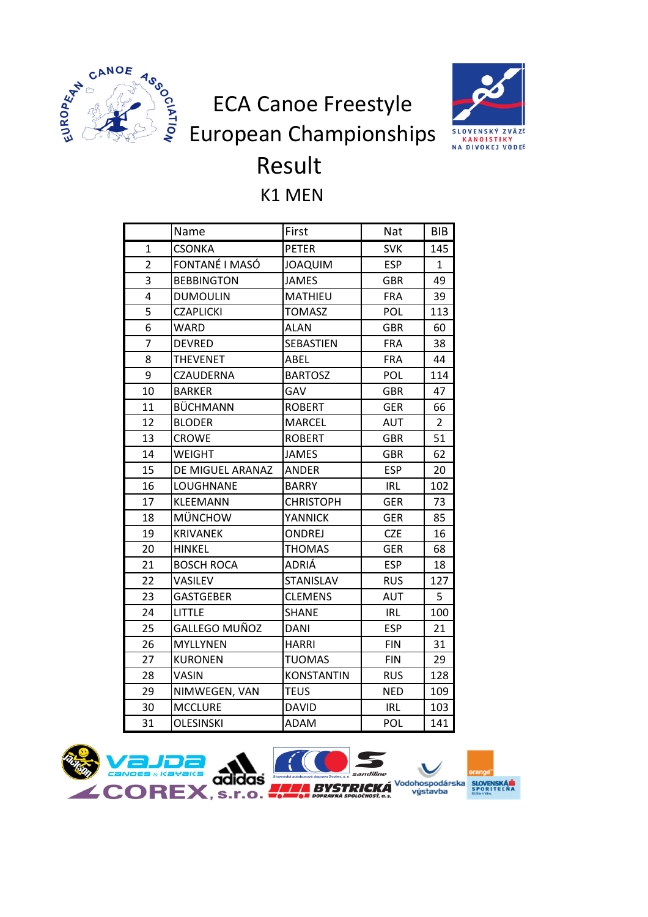

ECA Canoe Freestyle <sup>4s<sub>o</sub> electrical Canoe Freestyle<br>
European Championships</sup>



# Result

### K1 MEN

|                | Name              | First             | Nat        | BIB            |
|----------------|-------------------|-------------------|------------|----------------|
| $\mathbf{1}$   | <b>CSONKA</b>     | <b>PETER</b>      | <b>SVK</b> | 145            |
| $\overline{2}$ | FONTANÉ I MASÓ    | <b>JOAQUIM</b>    | <b>ESP</b> | 1              |
| 3              | <b>BEBBINGTON</b> | <b>JAMES</b>      | <b>GBR</b> | 49             |
| 4              | <b>DUMOULIN</b>   | <b>MATHIEU</b>    | <b>FRA</b> | 39             |
| 5              | <b>CZAPLICKI</b>  | <b>TOMASZ</b>     | <b>POL</b> | 113            |
| 6              | <b>WARD</b>       | <b>ALAN</b>       | <b>GBR</b> | 60             |
| $\overline{7}$ | <b>DEVRED</b>     | SEBASTIEN         | <b>FRA</b> | 38             |
| 8              | <b>THEVENET</b>   | ABEL              | <b>FRA</b> | 44             |
| 9              | <b>CZAUDERNA</b>  | <b>BARTOSZ</b>    | POL        | 114            |
| 10             | <b>BARKER</b>     | GAV               | <b>GBR</b> | 47             |
| 11             | <b>BÜCHMANN</b>   | <b>ROBERT</b>     | <b>GER</b> | 66             |
| 12             | <b>BLODER</b>     | <b>MARCEL</b>     | <b>AUT</b> | $\overline{2}$ |
| 13             | <b>CROWE</b>      | <b>ROBERT</b>     | <b>GBR</b> | 51             |
| 14             | <b>WEIGHT</b>     | <b>JAMES</b>      | <b>GBR</b> | 62             |
| 15             | DE MIGUEL ARANAZ  | <b>ANDER</b>      | <b>ESP</b> | 20             |
| 16             | LOUGHNANE         | <b>BARRY</b>      | <b>IRL</b> | 102            |
| 17             | <b>KLEEMANN</b>   | <b>CHRISTOPH</b>  | <b>GER</b> | 73             |
| 18             | <b>MÜNCHOW</b>    | <b>YANNICK</b>    | <b>GER</b> | 85             |
| 19             | <b>KRIVANEK</b>   | <b>ONDREJ</b>     | <b>CZE</b> | 16             |
| 20             | <b>HINKEL</b>     | <b>THOMAS</b>     | <b>GER</b> | 68             |
| 21             | <b>BOSCH ROCA</b> | ADRIÁ             | <b>ESP</b> | 18             |
| 22             | VASILEV           | <b>STANISLAV</b>  | <b>RUS</b> | 127            |
| 23             | <b>GASTGEBER</b>  | <b>CLEMENS</b>    | <b>AUT</b> | 5              |
| 24             | <b>LITTLE</b>     | <b>SHANE</b>      | <b>IRL</b> | 100            |
| 25             | GALLEGO MUÑOZ     | <b>DANI</b>       | <b>ESP</b> | 21             |
| 26             | <b>MYLLYNEN</b>   | <b>HARRI</b>      | <b>FIN</b> | 31             |
| 27             | <b>KURONEN</b>    | <b>TUOMAS</b>     | <b>FIN</b> | 29             |
| 28             | VASIN             | <b>KONSTANTIN</b> | <b>RUS</b> | 128            |
| 29             | NIMWEGEN, VAN     | <b>TEUS</b>       | <b>NED</b> | 109            |
| 30             | <b>MCCLURE</b>    | <b>DAVID</b>      | <b>IRL</b> | 103            |
| 31             | <b>OLESINSKI</b>  | ADAM              | POL        | 141            |